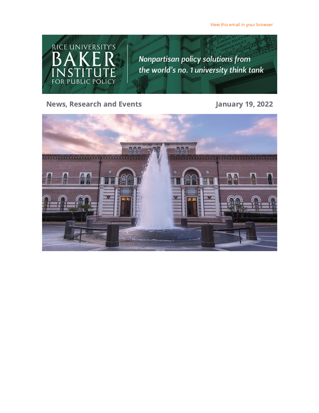View this email in your [browser](https://riceconnect.rice.edu/emailviewonwebpage.aspx?erid=aa27f54b-24ef-465a-9788-1b88f6b14494&trid=aa27f54b-24ef-465a-9788-1b88f6b14494)



News, Research and Events **Constructed Servers** January 19, 2022

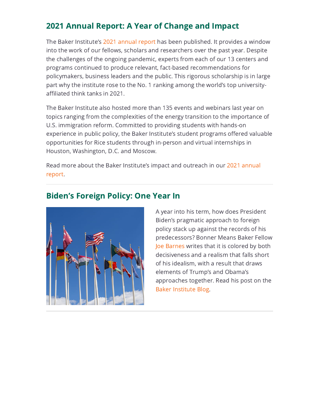# 2021 Annual Report: A Year of Change and Impact

The Baker Institute's 2021 [annual](https://riceconnect.rice.edu/page.redir?target=https%3a%2f%2fwww.bakerinstitute.org%2ffiles%2f18001%2f&srcid=268329&srctid=1&erid=aa27f54b-24ef-465a-9788-1b88f6b14494&trid=aa27f54b-24ef-465a-9788-1b88f6b14494) report has been published. It provides a window into the work of our fellows, scholars and researchers over the past year. Despite the challenges of the ongoing pandemic, experts from each of our 13 centers and programs continued to produce relevant, fact-based recommendations for policymakers, business leaders and the public. This rigorous scholarship is in large part why the institute rose to the No. 1 ranking among the world's top universityaffiliated think tanks in 2021.

The Baker Institute also hosted more than 135 events and webinars last year on topics ranging from the complexities of the energy transition to the importance of U.S. immigration reform. Committed to providing students with hands-on experience in public policy, the Baker Institute's student programs offered valuable opportunities for Rice students through in-person and virtual internships in Houston, Washington, D.C. and Moscow.

Read more about the Baker [Institute's](https://riceconnect.rice.edu/page.redir?target=https%3a%2f%2fwww.bakerinstitute.org%2ffiles%2f18001%2f&srcid=268329&srctid=1&erid=aa27f54b-24ef-465a-9788-1b88f6b14494&trid=aa27f54b-24ef-465a-9788-1b88f6b14494) impact and outreach in our 2021 annual report.

#### Biden's Foreign Policy: One Year In



A year into his term, how does President Biden's pragmatic approach to foreign policy stack up against the records of his predecessors? Bonner Means Baker Fellow Joe [Barnes](https://riceconnect.rice.edu/page.redir?target=https%3a%2f%2fwww.bakerinstitute.org%2fexperts%2fjoe-barnes%2f&srcid=268329&srctid=1&erid=aa27f54b-24ef-465a-9788-1b88f6b14494&trid=aa27f54b-24ef-465a-9788-1b88f6b14494) writes that it is colored by both decisiveness and a realism that falls short of his idealism, with a result that draws elements of Trump's and Obama's approaches together. Read his post on the Baker [Institute](https://riceconnect.rice.edu/page.redir?target=http%3a%2f%2fblog.bakerinstitute.org%2f2022%2f01%2f04%2fbidens-foreign-policy-one-year-in%2f&srcid=268329&srctid=1&erid=aa27f54b-24ef-465a-9788-1b88f6b14494&trid=aa27f54b-24ef-465a-9788-1b88f6b14494) Blog.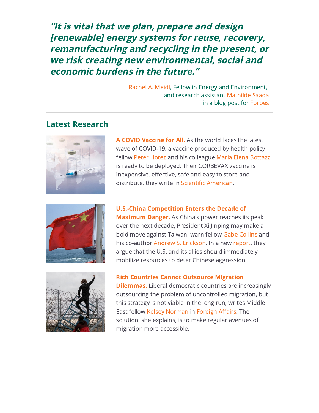"It is vital that we plan, prepare and design [renewable] energy systems for reuse, recovery, remanufacturing and recycling in the present, or we risk creating new environmental, social and economic burdens in the future."

> [Rachel](https://riceconnect.rice.edu/page.redir?target=https%3a%2f%2fwww.bakerinstitute.org%2fexperts%2frachel-a-meidl%2f&srcid=268329&srctid=1&erid=aa27f54b-24ef-465a-9788-1b88f6b14494&trid=aa27f54b-24ef-465a-9788-1b88f6b14494) A. Meidl, Fellow in Energy and Environment, and research assistant [Mathilde](https://riceconnect.rice.edu/page.redir?target=https%3a%2f%2fwww.linkedin.com%2fin%2fmathilde-saada%2f&srcid=268329&srctid=1&erid=aa27f54b-24ef-465a-9788-1b88f6b14494&trid=aa27f54b-24ef-465a-9788-1b88f6b14494) Saada in a blog post for [Forbes](https://riceconnect.rice.edu/page.redir?target=https%3a%2f%2fwww.forbes.com%2fsites%2fthebakersinstitute%2f2022%2f01%2f18%2fsolars-bright-future-faces-a-cloudy-reality-what-about-all-the-waste%2f%3fsh%3d77e54876c450&srcid=268329&srctid=1&erid=aa27f54b-24ef-465a-9788-1b88f6b14494&trid=aa27f54b-24ef-465a-9788-1b88f6b14494)

#### Latest Research



A COVID [Vaccine](https://riceconnect.rice.edu/page.redir?target=https%3a%2f%2fwww.bakerinstitute.org%2fresearch%2fcovid-vaccine-all%2f&srcid=268329&srctid=1&erid=aa27f54b-24ef-465a-9788-1b88f6b14494&trid=aa27f54b-24ef-465a-9788-1b88f6b14494) for All. As the world faces the latest wave of COVID-19, a vaccine produced by health policy fellow Peter [Hotez](https://riceconnect.rice.edu/page.redir?target=https%3a%2f%2fwww.bakerinstitute.org%2fexperts%2fpeter-j-hotez%2f&srcid=268329&srctid=1&erid=aa27f54b-24ef-465a-9788-1b88f6b14494&trid=aa27f54b-24ef-465a-9788-1b88f6b14494) and his colleague Maria Elena [Bottazzi](https://riceconnect.rice.edu/page.redir?target=https%3a%2f%2fwww.bcm.edu%2fpeople-search%2fmaria-bottazzi-18431&srcid=268329&srctid=1&erid=aa27f54b-24ef-465a-9788-1b88f6b14494&trid=aa27f54b-24ef-465a-9788-1b88f6b14494) is ready to be deployed. Their CORBEVAX vaccine is inexpensive, effective, safe and easy to store and distribute, they write in Scientific [American](https://riceconnect.rice.edu/page.redir?target=https%3a%2f%2fwww.scientificamerican.com%2farticle%2fa-covid-vaccine-for-all%2f&srcid=268329&srctid=1&erid=aa27f54b-24ef-465a-9788-1b88f6b14494&trid=aa27f54b-24ef-465a-9788-1b88f6b14494).



U.S.-China [Competition](https://riceconnect.rice.edu/page.redir?target=https%3a%2f%2fwww.bakerinstitute.org%2fresearch%2fus-china-competition-enters-decade-maximum-danger%2f&srcid=268329&srctid=1&erid=aa27f54b-24ef-465a-9788-1b88f6b14494&trid=aa27f54b-24ef-465a-9788-1b88f6b14494) Enters the Decade of **Maximum Danger.** As China's power reaches its peak over the next decade, President Xi Jinping may make a bold move against Taiwan, warn fellow Gabe [Collins](https://riceconnect.rice.edu/page.redir?target=https%3a%2f%2fwww.bakerinstitute.org%2fexperts%2fgabe-collins%2f&srcid=268329&srctid=1&erid=aa27f54b-24ef-465a-9788-1b88f6b14494&trid=aa27f54b-24ef-465a-9788-1b88f6b14494) and his co-author Andrew S. [Erickson](https://riceconnect.rice.edu/page.redir?target=https%3a%2f%2fusnwc.edu%2fFaculty-and-Departments%2fDirectory%2fAndrew-Erickson&srcid=268329&srctid=1&erid=aa27f54b-24ef-465a-9788-1b88f6b14494&trid=aa27f54b-24ef-465a-9788-1b88f6b14494). In a new [report](https://riceconnect.rice.edu/page.redir?target=https%3a%2f%2fwww.bakerinstitute.org%2fresearch%2fus-china-competition-enters-decade-maximum-danger%2f&srcid=268329&srctid=1&erid=aa27f54b-24ef-465a-9788-1b88f6b14494&trid=aa27f54b-24ef-465a-9788-1b88f6b14494), they argue that the U.S. and its allies should immediately mobilize resources to deter Chinese aggression.



Rich Countries Cannot Outsource Migration

**[Dilemmas.](https://riceconnect.rice.edu/page.redir?target=https%3a%2f%2fwww.bakerinstitute.org%2fresearch%2frich-countries-cannot-outsource-their-migration-dilemmas%2f&srcid=268329&srctid=1&erid=aa27f54b-24ef-465a-9788-1b88f6b14494&trid=aa27f54b-24ef-465a-9788-1b88f6b14494)** Liberal democratic countries are increasingly outsourcing the problem of uncontrolled migration, but this strategy is not viable in the long run, writes Middle East fellow Kelsey [Norman](https://riceconnect.rice.edu/page.redir?target=https%3a%2f%2fwww.bakerinstitute.org%2fexperts%2fkelsey-norman%2f&srcid=268329&srctid=1&erid=aa27f54b-24ef-465a-9788-1b88f6b14494&trid=aa27f54b-24ef-465a-9788-1b88f6b14494) in [Foreign](https://riceconnect.rice.edu/page.redir?target=https%3a%2f%2fwww.foreignaffairs.com%2farticles%2feurope%2f2022-01-05%2frich-countries-cannot-outsource-their-migration-dilemmas&srcid=268329&srctid=1&erid=aa27f54b-24ef-465a-9788-1b88f6b14494&trid=aa27f54b-24ef-465a-9788-1b88f6b14494) Affairs. The solution, she explains, is to make regular avenues of migration more accessible.